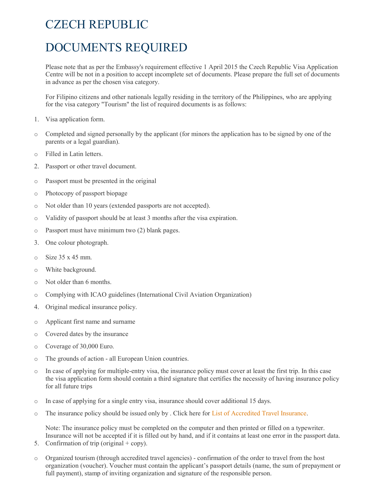## CZECH REPUBLIC

## DOCUMENTS REQUIRED

Please note that as per the Embassy's requirement effective 1 April 2015 the Czech Republic Visa Application Centre will be not in a position to accept incomplete set of documents. Please prepare the full set of documents in advance as per the chosen visa category.

For Filipino citizens and other nationals legally residing in the territory of the Philippines, who are applying for the visa category "Tourism" the list of required documents is as follows:

- 1. Visa application form.
- o Completed and signed personally by the applicant (for minors the application has to be signed by one of the parents or a legal guardian).
- o Filled in Latin letters.
- 2. Passport or other travel document.
- o Passport must be presented in the original
- o Photocopy of passport biopage
- o Not older than 10 years (extended passports are not accepted).
- o Validity of passport should be at least 3 months after the visa expiration.
- o Passport must have minimum two (2) blank pages.
- 3. One colour photograph.
- $\circ$  Size 35 x 45 mm.
- o White background.
- o Not older than 6 months.
- o Complying with ICAO guidelines (International Civil Aviation Organization)
- 4. Original medical insurance policy.
- o Applicant first name and surname
- o Covered dates by the insurance
- o Coverage of 30,000 Euro.
- o The grounds of action all European Union countries.
- o In case of applying for multiple-entry visa, the insurance policy must cover at least the first trip. In this case the visa application form should contain a third signature that certifies the necessity of having insurance policy for all future trips
- o In case of applying for a single entry visa, insurance should cover additional 15 days.
- o The insurance policy should be issued only by . Click here for List of Accredited Travel Insurance.

Note: The insurance policy must be completed on the computer and then printed or filled on a typewriter. Insurance will not be accepted if it is filled out by hand, and if it contains at least one error in the passport data.

- 5. Confirmation of trip (original  $+$  copy).
- o Organized tourism (through accredited travel agencies) confirmation of the order to travel from the host organization (voucher). Voucher must contain the applicant's passport details (name, the sum of prepayment or full payment), stamp of inviting organization and signature of the responsible person.